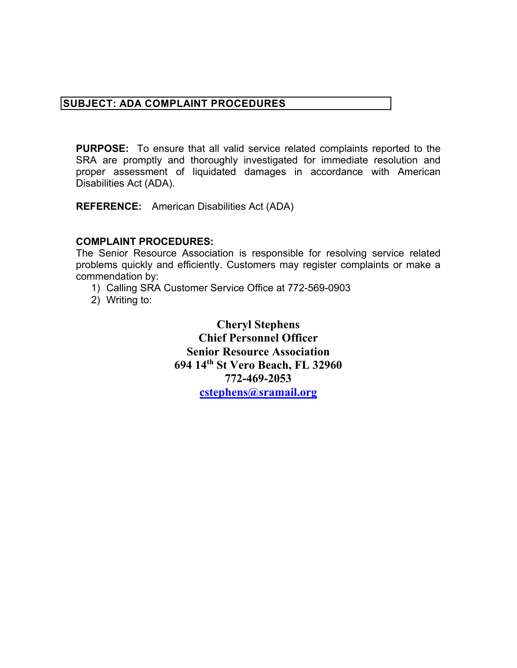## **SUBJECT: ADA COMPLAINT PROCEDURES**

**SUBJECT: ADA COMPLAINT PROCEDURES**<br> **PURPOSE:** To ensure that all valid service related complaints reported to the SRA are promptly and thoroughly investigated for immediate resolution are proper assessment of liquidated **PURPOSE:** To ensure that all valid service related complaints reported to the SRA are promptly and thoroughly investigated for immediate resolution and proper assessment of liquidated damages in accordance with American Disabilities Act (ADA).

**REFERENCE:** American Disabilities Act (ADA)

## **COMPLAINT PROCEDURES:**

 problems quickly and efficiently. Customers may register complaints or make a The Senior Resource Association is responsible for resolving service related commendation by:

- 1) Calling SRA Customer Service Office at 772-569-0903
- 2) Writing to:

 **Senior Resource Association Cheryl Stephens Chief Personnel Officer 694 14th St Vero Beach, FL 32960 772-469-2053 [cstephens@sramail.org](mailto:cstephens@sramail.org)**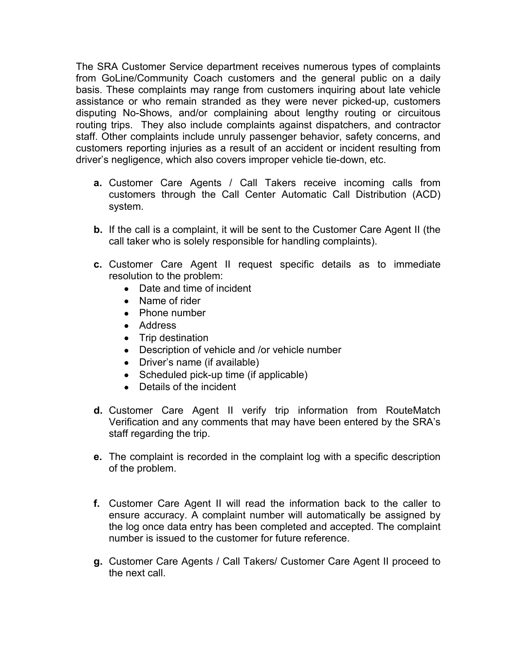disputing No-Shows, and/or complaining about lengthy routing or circuitous The SRA Customer Service department receives numerous types of complaints from GoLine/Community Coach customers and the general public on a daily basis. These complaints may range from customers inquiring about late vehicle assistance or who remain stranded as they were never picked-up, customers routing trips. They also include complaints against dispatchers, and contractor staff. Other complaints include unruly passenger behavior, safety concerns, and customers reporting injuries as a result of an accident or incident resulting from driver's negligence, which also covers improper vehicle tie-down, etc.

- **a.** Customer Care Agents / Call Takers receive incoming calls from customers through the Call Center Automatic Call Distribution (ACD) system.
- **b.** If the call is a complaint, it will be sent to the Customer Care Agent II (the call taker who is solely responsible for handling complaints).
- **c.** Customer Care Agent II request specific details as to immediate resolution to the problem:
	- Date and time of incident
	- Name of rider
	- Phone number
	- Address
	- Trip destination
	- Description of vehicle and /or vehicle number
	- Driver's name (if available)
	- Scheduled pick-up time (if applicable)
	- Details of the incident
- Verification and any comments that may have been entered by the SRA's **d.** Customer Care Agent II verify trip information from RouteMatch staff regarding the trip.
- **e.** The complaint is recorded in the complaint log with a specific description of the problem.
- **f.** Customer Care Agent II will read the information back to the caller to ensure accuracy. A complaint number will automatically be assigned by the log once data entry has been completed and accepted. The complaint number is issued to the customer for future reference.
- **g.** Customer Care Agents / Call Takers/ Customer Care Agent II proceed to the next call.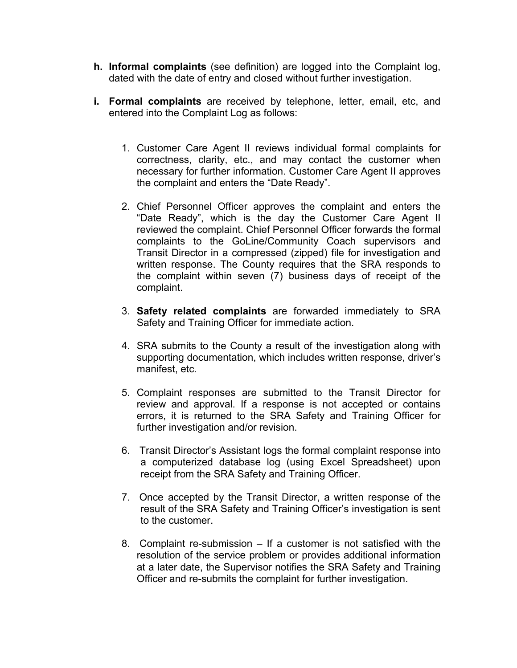- **h. Informal complaints** (see definition) are logged into the Complaint log, dated with the date of entry and closed without further investigation.
- **i. Formal complaints** are received by telephone, letter, email, etc, and entered into the Complaint Log as follows:
	- 1. Customer Care Agent II reviews individual formal complaints for correctness, clarity, etc., and may contact the customer when necessary for further information. Customer Care Agent II approves the complaint and enters the "Date Ready".
	- 2. Chief Personnel Officer approves the complaint and enters the "Date Ready", which is the day the Customer Care Agent II reviewed the complaint. Chief Personnel Officer forwards the formal complaints to the GoLine/Community Coach supervisors and Transit Director in a compressed (zipped) file for investigation and written response. The County requires that the SRA responds to the complaint within seven (7) business days of receipt of the complaint.
	- 3. **Safety related complaints** are forwarded immediately to SRA Safety and Training Officer for immediate action.
	- 4. SRA submits to the County a result of the investigation along with supporting documentation, which includes written response, driver's manifest, etc.
	- 5. Complaint responses are submitted to the Transit Director for review and approval. If a response is not accepted or contains errors, it is returned to the SRA Safety and Training Officer for further investigation and/or revision.
	- 6. Transit Director's Assistant logs the formal complaint response into a computerized database log (using Excel Spreadsheet) upon receipt from the SRA Safety and Training Officer.
	- 7. Once accepted by the Transit Director, a written response of the result of the SRA Safety and Training Officer's investigation is sent to the customer.
	- 8. Complaint re-submission If a customer is not satisfied with the resolution of the service problem or provides additional information at a later date, the Supervisor notifies the SRA Safety and Training Officer and re-submits the complaint for further investigation.